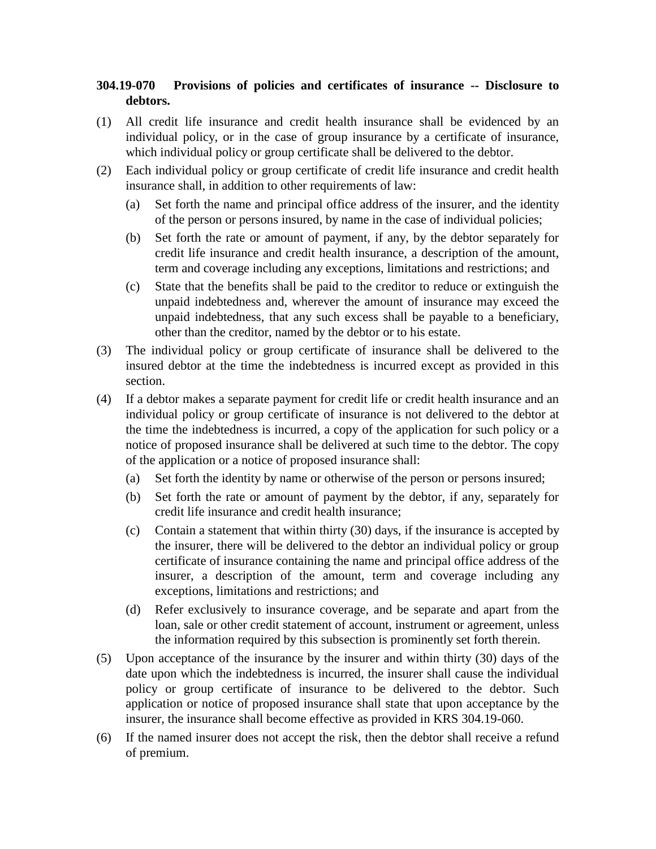## **304.19-070 Provisions of policies and certificates of insurance -- Disclosure to debtors.**

- (1) All credit life insurance and credit health insurance shall be evidenced by an individual policy, or in the case of group insurance by a certificate of insurance, which individual policy or group certificate shall be delivered to the debtor.
- (2) Each individual policy or group certificate of credit life insurance and credit health insurance shall, in addition to other requirements of law:
	- (a) Set forth the name and principal office address of the insurer, and the identity of the person or persons insured, by name in the case of individual policies;
	- (b) Set forth the rate or amount of payment, if any, by the debtor separately for credit life insurance and credit health insurance, a description of the amount, term and coverage including any exceptions, limitations and restrictions; and
	- (c) State that the benefits shall be paid to the creditor to reduce or extinguish the unpaid indebtedness and, wherever the amount of insurance may exceed the unpaid indebtedness, that any such excess shall be payable to a beneficiary, other than the creditor, named by the debtor or to his estate.
- (3) The individual policy or group certificate of insurance shall be delivered to the insured debtor at the time the indebtedness is incurred except as provided in this section.
- (4) If a debtor makes a separate payment for credit life or credit health insurance and an individual policy or group certificate of insurance is not delivered to the debtor at the time the indebtedness is incurred, a copy of the application for such policy or a notice of proposed insurance shall be delivered at such time to the debtor. The copy of the application or a notice of proposed insurance shall:
	- (a) Set forth the identity by name or otherwise of the person or persons insured;
	- (b) Set forth the rate or amount of payment by the debtor, if any, separately for credit life insurance and credit health insurance;
	- (c) Contain a statement that within thirty (30) days, if the insurance is accepted by the insurer, there will be delivered to the debtor an individual policy or group certificate of insurance containing the name and principal office address of the insurer, a description of the amount, term and coverage including any exceptions, limitations and restrictions; and
	- (d) Refer exclusively to insurance coverage, and be separate and apart from the loan, sale or other credit statement of account, instrument or agreement, unless the information required by this subsection is prominently set forth therein.
- (5) Upon acceptance of the insurance by the insurer and within thirty (30) days of the date upon which the indebtedness is incurred, the insurer shall cause the individual policy or group certificate of insurance to be delivered to the debtor. Such application or notice of proposed insurance shall state that upon acceptance by the insurer, the insurance shall become effective as provided in KRS 304.19-060.
- (6) If the named insurer does not accept the risk, then the debtor shall receive a refund of premium.